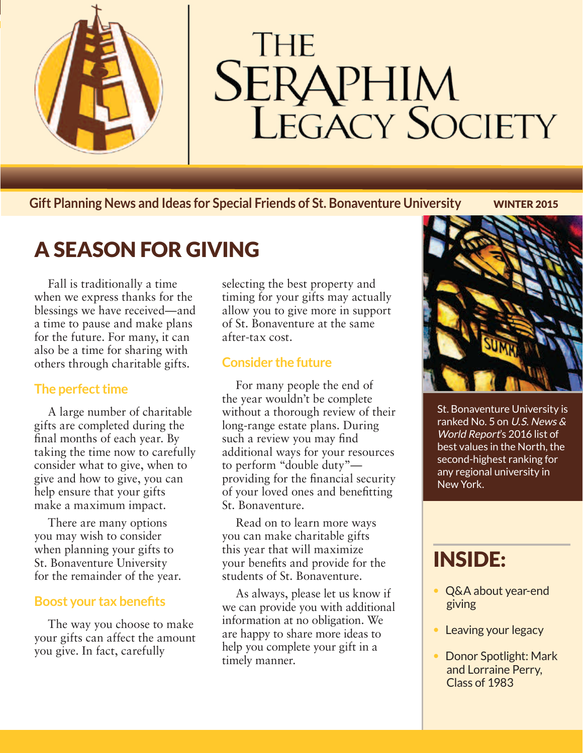

# **THE SERAPHIM**<br>LEGACY SOCIETY

**Gift Planning News and Ideas for Special Friends of St. Bonaventure University** WINTER 2015

## A SEASON FOR GIVING

Fall is traditionally a time when we express thanks for the blessings we have received—and a time to pause and make plans for the future. For many, it can also be a time for sharing with others through charitable gifts.

#### **The perfect time**

A large number of charitable gifts are completed during the final months of each year. By taking the time now to carefully consider what to give, when to give and how to give, you can help ensure that your gifts make a maximum impact.

There are many options you may wish to consider when planning your gifts to St. Bonaventure University for the remainder of the year.

#### **Boost your tax benefits**

The way you choose to make your gifts can affect the amount you give. In fact, carefully

selecting the best property and timing for your gifts may actually allow you to give more in support of St. Bonaventure at the same after-tax cost.

#### **Consider the future**

For many people the end of the year wouldn't be complete without a thorough review of their long-range estate plans. During such a review you may find additional ways for your resources to perform "double duty" providing for the financial security of your loved ones and benefitting St. Bonaventure.

Read on to learn more ways you can make charitable gifts this year that will maximize your benefits and provide for the students of St. Bonaventure.

As always, please let us know if we can provide you with additional information at no obligation. We are happy to share more ideas to help you complete your gift in a timely manner.



St. Bonaventure University is ranked No. 5 on U.S. News & World Report's 2016 list of best values in the North, the second-highest ranking for any regional university in New York.

## INSIDE:

- Q&A about year-end giving
- Leaving your legacy
- Donor Spotlight: Mark and Lorraine Perry, Class of 1983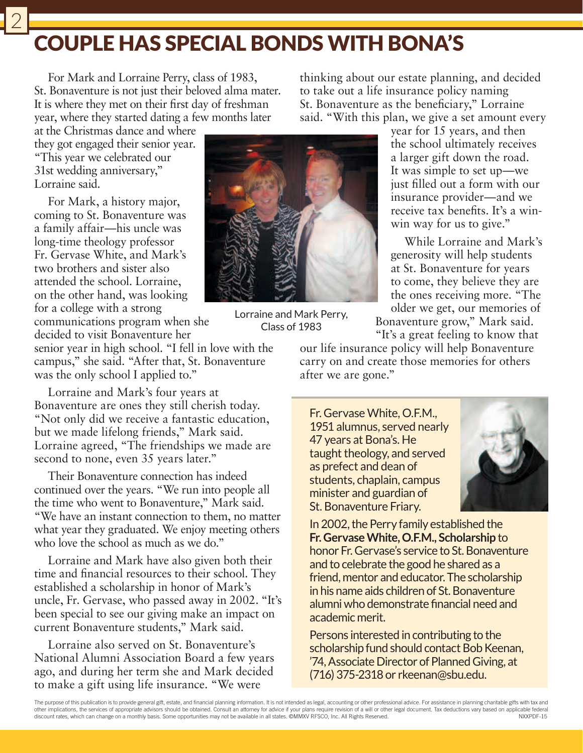## COUPLE HAS SPECIAL BONDS WITH BONA'S

For Mark and Lorraine Perry, class of 1983, St. Bonaventure is not just their beloved alma mater. It is where they met on their first day of freshman year, where they started dating a few months later

at the Christmas dance and where they got engaged their senior year. "This year we celebrated our 31st wedding anniversary," Lorraine said.

For Mark, a history major, coming to St. Bonaventure was a family affair—his uncle was long-time theology professor Fr. Gervase White, and Mark's two brothers and sister also attended the school. Lorraine, on the other hand, was looking for a college with a strong

communications program when she decided to visit Bonaventure her

senior year in high school. "I fell in love with the campus," she said. "After that, St. Bonaventure was the only school I applied to."

Lorraine and Mark's four years at Bonaventure are ones they still cherish today. "Not only did we receive a fantastic education, but we made lifelong friends," Mark said. Lorraine agreed, "The friendships we made are second to none, even 35 years later."

Their Bonaventure connection has indeed continued over the years. "We run into people all the time who went to Bonaventure," Mark said. "We have an instant connection to them, no matter what year they graduated. We enjoy meeting others who love the school as much as we do."

Lorraine and Mark have also given both their time and financial resources to their school. They established a scholarship in honor of Mark's uncle, Fr. Gervase, who passed away in 2002. "It's been special to see our giving make an impact on current Bonaventure students," Mark said.

Lorraine also served on St. Bonaventure's National Alumni Association Board a few years ago, and during her term she and Mark decided to make a gift using life insurance. "We were



Lorraine and Mark Perry, Class of 1983

year for 15 years, and then the school ultimately receives a larger gift down the road. It was simple to set up—we just filled out a form with our insurance provider—and we receive tax benefits. It's a winwin way for us to give."

While Lorraine and Mark's generosity will help students at St. Bonaventure for years to come, they believe they are the ones receiving more. "The older we get, our memories of

Bonaventure grow," Mark said. "It's a great feeling to know that

our life insurance policy will help Bonaventure carry on and create those memories for others after we are gone."

Fr. Gervase White, O.F.M., 1951 alumnus, served nearly 47 years at Bona's. He taught theology, and served as prefect and dean of students, chaplain, campus minister and guardian of St. Bonaventure Friary.



In 2002, the Perry family established the **Fr. Gervase White, O.F.M., Scholarship** to honor Fr. Gervase's service to St. Bonaventure and to celebrate the good he shared as a friend, mentor and educator. The scholarship in his name aids children of St. Bonaventure alumni who demonstrate financial need and academic merit.

Persons interested in contributing to the scholarship fund should contact Bob Keenan, '74, Associate Director of Planned Giving, at (716) 375-2318 or rkeenan@sbu.edu.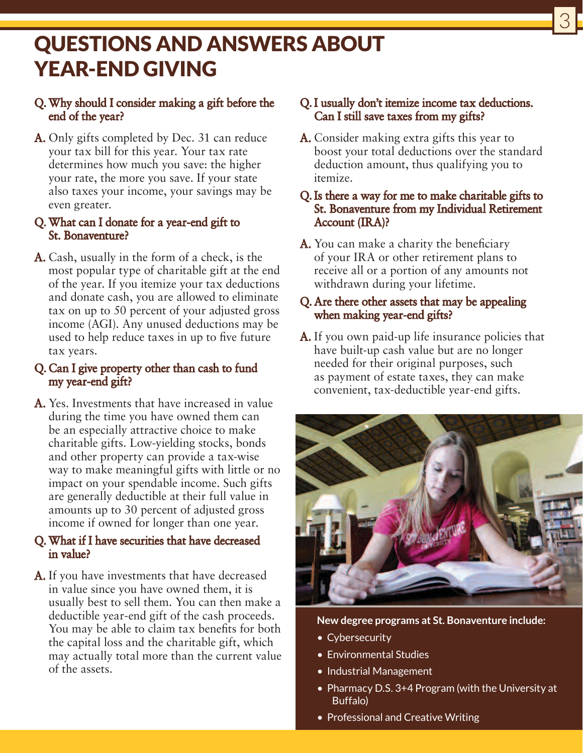### QUESTIONS AND ANSWERS ABOUT YEAR-END GIVING

#### Q.Why should I consider making a gift before the end of the year?

A. Only gifts completed by Dec. 31 can reduce your tax bill for this year. Your tax rate determines how much you save: the higher your rate, the more you save. If your state also taxes your income, your savings may be even greater.

#### Q.What can I donate for a year-end gift to St. Bonaventure?

A. Cash, usually in the form of a check, is the most popular type of charitable gift at the end of the year. If you itemize your tax deductions and donate cash, you are allowed to eliminate tax on up to 50 percent of your adjusted gross income (AGI). Any unused deductions may be used to help reduce taxes in up to five future tax years.

#### Q. Can I give property other than cash to fund my year-end gift?

A. Yes. Investments that have increased in value during the time you have owned them can be an especially attractive choice to make charitable gifts. Low-yielding stocks, bonds and other property can provide a tax-wise way to make meaningful gifts with little or no impact on your spendable income. Such gifts are generally deductible at their full value in amounts up to 30 percent of adjusted gross income if owned for longer than one year.

#### Q.What if I have securities that have decreased in value?

A. If you have investments that have decreased in value since you have owned them, it is usually best to sell them. You can then make a deductible year-end gift of the cash proceeds. You may be able to claim tax benefits for both the capital loss and the charitable gift, which may actually total more than the current value of the assets.

#### Q.I usually don't itemize income tax deductions. Can I still save taxes from my gifts?

3

A. Consider making extra gifts this year to boost your total deductions over the standard deduction amount, thus qualifying you to itemize.

#### Q.Is there a way for me to make charitable gifts to St. Bonaventure from my Individual Retirement Account (IRA)?

A. You can make a charity the beneficiary of your IRA or other retirement plans to receive all or a portion of any amounts not withdrawn during your lifetime.

#### Q. Are there other assets that may be appealing when making year-end gifts?

A. If you own paid-up life insurance policies that have built-up cash value but are no longer needed for their original purposes, such as payment of estate taxes, they can make convenient, tax-deductible year-end gifts.



**New degree programs at St. Bonaventure include:**

- Cybersecurity
- Environmental Studies
- Industrial Management
- Pharmacy D.S. 3+4 Program (with the University at Buffalo)
- Professional and Creative Writing